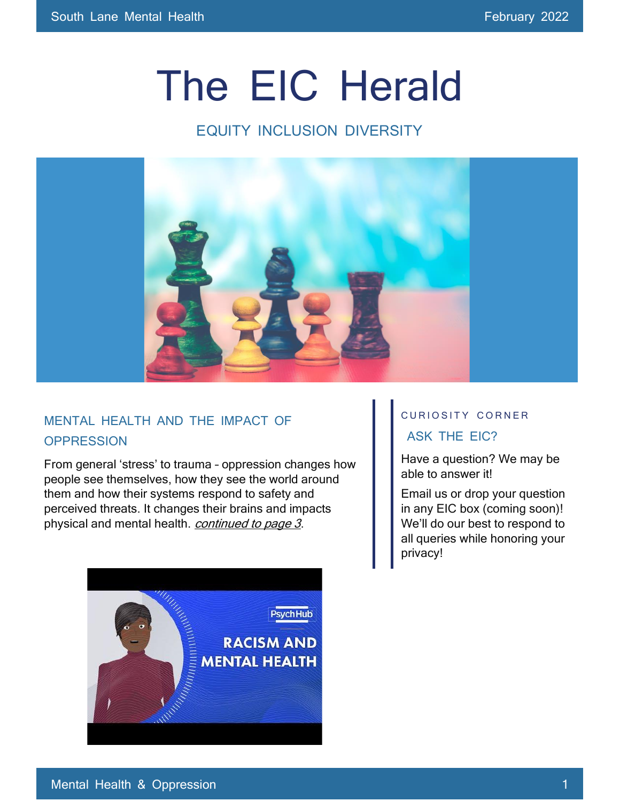# The EIC Herald

# EQUITY INCLUSION DIVERSITY



### MENTAL HEALTH AND THE IMPACT OF **OPPRESSION**

From general 'stress' to trauma – oppression changes how people see themselves, how they see the world around them and how their systems respond to safety and perceived threats. It changes their brains and impacts physical and mental health. *continued to page 3*.



# CURIOSITY CORNER

#### ASK THE EIC?

Have a question? We may be able to answer it!

Email us or drop your question in any EIC box (coming soon)! We'll do our best to respond to all queries while honoring your privacy!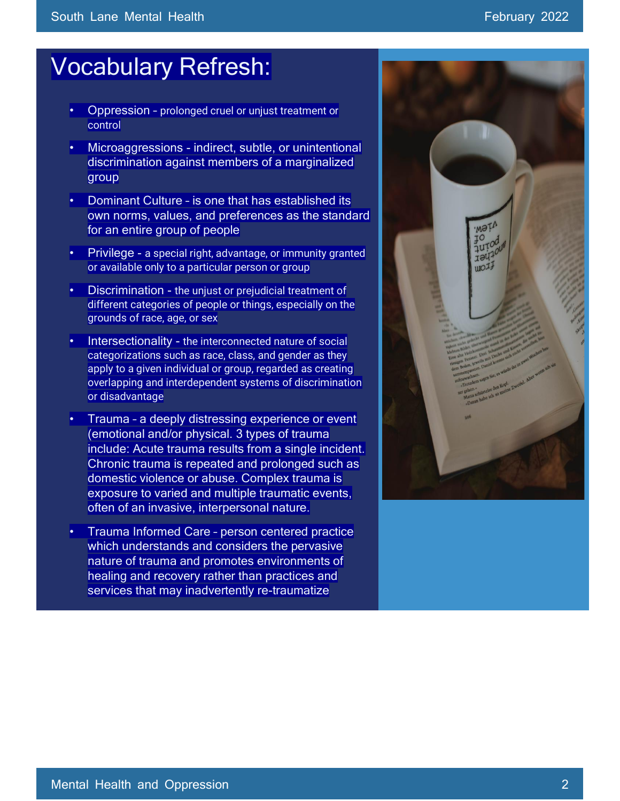# Vocabulary Refresh:

- Oppression prolonged cruel or unjust treatment or control
- Microaggressions indirect, subtle, or unintentional discrimination against members of a marginalized group
- Dominant Culture is one that has established its own norms, values, and preferences as the standard for an entire group of people
- Privilege a special right, advantage, or immunity granted or available only to a particular person or group
- Discrimination the unjust or prejudicial treatment of different categories of people or things, especially on the grounds of race, age, or sex
- Intersectionality the interconnected nature of social categorizations such as race, class, and gender as they apply to a given individual or group, regarded as creating overlapping and interdependent systems of discrimination or disadvantage
- Trauma a deeply distressing experience or event (emotional and/or physical. 3 types of trauma include: Acute trauma results from a single incident. Chronic trauma is repeated and prolonged such as domestic violence or abuse. Complex trauma is exposure to varied and multiple traumatic events, often of an invasive, interpersonal nature.
- Trauma Informed Care person centered practice which understands and considers the pervasive nature of trauma and promotes environments of healing and recovery rather than practices and services that may inadvertently re-traumatize

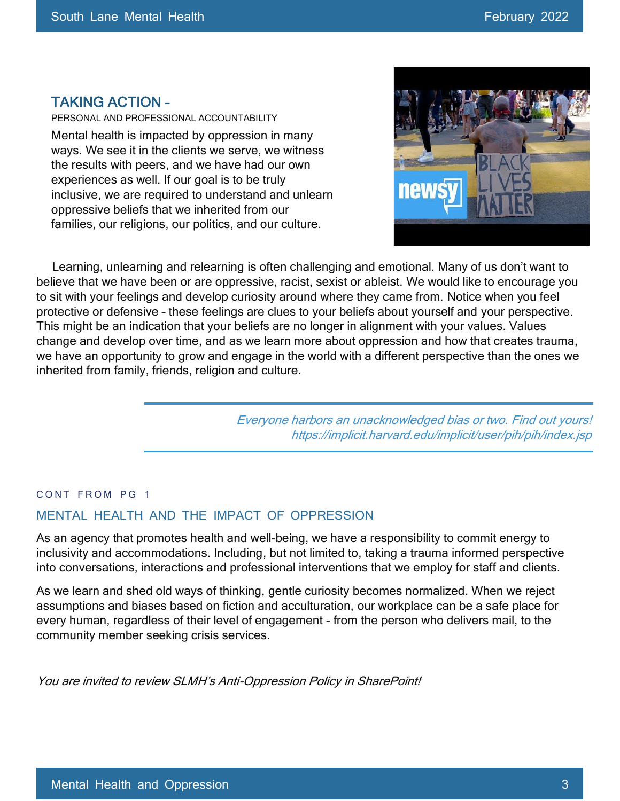#### TAKING ACTION –

PERSONAL AND PROFESSIONAL ACCOUNTABILITY Mental health is impacted by oppression in many ways. We see it in the clients we serve, we witness the results with peers, and we have had our own experiences as well. If our goal is to be truly inclusive, we are required to understand and unlearn oppressive beliefs that we inherited from our families, our religions, our politics, and our culture.



 Learning, unlearning and relearning is often challenging and emotional. Many of us don't want to believe that we have been or are oppressive, racist, sexist or ableist. We would like to encourage you to sit with your feelings and develop curiosity around where they came from. Notice when you feel protective or defensive – these feelings are clues to your beliefs about yourself and your perspective. This might be an indication that your beliefs are no longer in alignment with your values. Values change and develop over time, and as we learn more about oppression and how that creates trauma, we have an opportunity to grow and engage in the world with a different perspective than the ones we inherited from family, friends, religion and culture.

> Everyone harbors an unacknowledged bias or two. Find out yours! https://implicit.harvard.edu/implicit/user/pih/pih/index.jsp

#### CONT FROM PG 1

#### MENTAL HEALTH AND THE IMPACT OF OPPRESSION

As an agency that promotes health and well-being, we have a responsibility to commit energy to inclusivity and accommodations. Including, but not limited to, taking a trauma informed perspective into conversations, interactions and professional interventions that we employ for staff and clients.

As we learn and shed old ways of thinking, gentle curiosity becomes normalized. When we reject assumptions and biases based on fiction and acculturation, our workplace can be a safe place for every human, regardless of their level of engagement - from the person who delivers mail, to the community member seeking crisis services.

You are invited to review SLMH's Anti-Oppression Policy in SharePoint!